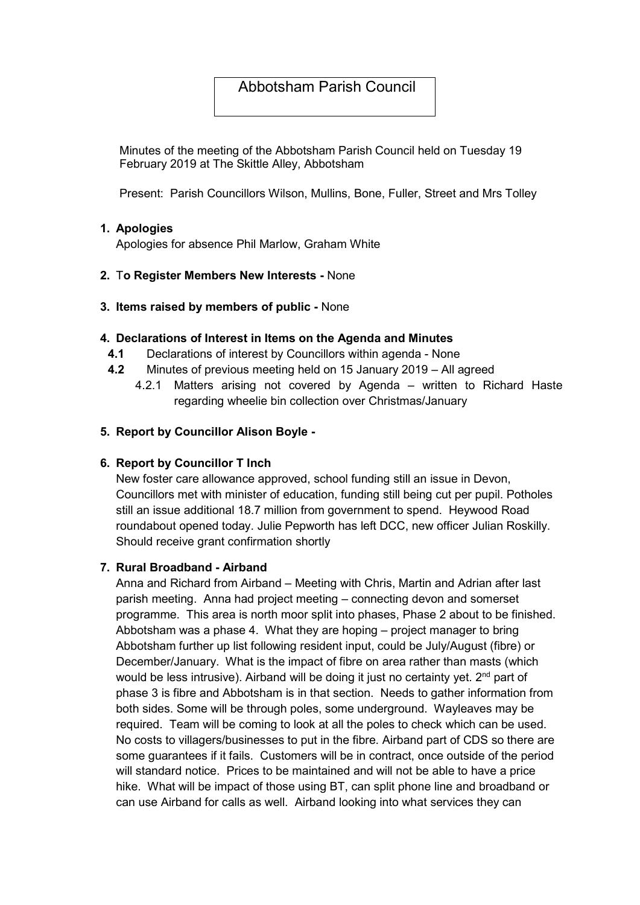# Abbotsham Parish Council

Minutes of the meeting of the Abbotsham Parish Council held on Tuesday 19 February 2019 at The Skittle Alley, Abbotsham

Present: Parish Councillors Wilson, Mullins, Bone, Fuller, Street and Mrs Tolley

### 1. Apologies

Apologies for absence Phil Marlow, Graham White

### 2. To Register Members New Interests - None

### 3. Items raised by members of public - None

### 4. Declarations of Interest in Items on the Agenda and Minutes

- 4.1 Declarations of interest by Councillors within agenda None
- 4.2 Minutes of previous meeting held on 15 January 2019 All agreed
	- 4.2.1 Matters arising not covered by Agenda written to Richard Haste regarding wheelie bin collection over Christmas/January

### 5. Report by Councillor Alison Boyle -

#### 6. Report by Councillor T Inch

New foster care allowance approved, school funding still an issue in Devon, Councillors met with minister of education, funding still being cut per pupil. Potholes still an issue additional 18.7 million from government to spend. Heywood Road roundabout opened today. Julie Pepworth has left DCC, new officer Julian Roskilly. Should receive grant confirmation shortly

#### 7. Rural Broadband - Airband

Anna and Richard from Airband – Meeting with Chris, Martin and Adrian after last parish meeting. Anna had project meeting – connecting devon and somerset programme. This area is north moor split into phases, Phase 2 about to be finished. Abbotsham was a phase 4. What they are hoping – project manager to bring Abbotsham further up list following resident input, could be July/August (fibre) or December/January. What is the impact of fibre on area rather than masts (which would be less intrusive). Airband will be doing it just no certainty yet. 2<sup>nd</sup> part of phase 3 is fibre and Abbotsham is in that section. Needs to gather information from both sides. Some will be through poles, some underground. Wayleaves may be required. Team will be coming to look at all the poles to check which can be used. No costs to villagers/businesses to put in the fibre. Airband part of CDS so there are some guarantees if it fails. Customers will be in contract, once outside of the period will standard notice. Prices to be maintained and will not be able to have a price hike. What will be impact of those using BT, can split phone line and broadband or can use Airband for calls as well. Airband looking into what services they can